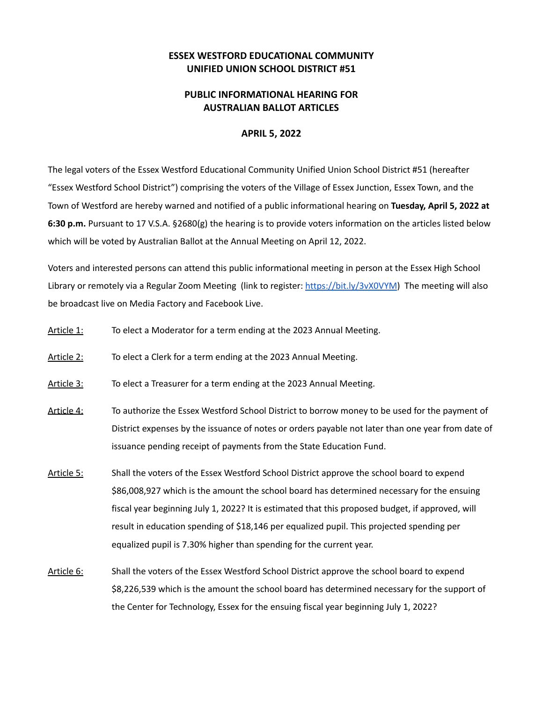## **ESSEX WESTFORD EDUCATIONAL COMMUNITY UNIFIED UNION SCHOOL DISTRICT #51**

## **PUBLIC INFORMATIONAL HEARING FOR AUSTRALIAN BALLOT ARTICLES**

## **APRIL 5, 2022**

The legal voters of the Essex Westford Educational Community Unified Union School District #51 (hereafter "Essex Westford School District") comprising the voters of the Village of Essex Junction, Essex Town, and the Town of Westford are hereby warned and notified of a public informational hearing on **Tuesday, April 5, 2022 at 6:30 p.m.** Pursuant to 17 V.S.A. §2680(g) the hearing is to provide voters information on the articles listed below which will be voted by Australian Ballot at the Annual Meeting on April 12, 2022.

Voters and interested persons can attend this public informational meeting in person at the Essex High School Library or remotely via a Regular Zoom Meeting (link to register: https://bit.ly/3vX0VYM) The meeting will also be broadcast live on Media Factory and Facebook Live.

- Article 1: To elect a Moderator for a term ending at the 2023 Annual Meeting.
- Article 2: To elect a Clerk for a term ending at the 2023 Annual Meeting.
- Article 3: To elect a Treasurer for a term ending at the 2023 Annual Meeting.
- Article 4: To authorize the Essex Westford School District to borrow money to be used for the payment of District expenses by the issuance of notes or orders payable not later than one year from date of issuance pending receipt of payments from the State Education Fund.
- Article 5: Shall the voters of the Essex Westford School District approve the school board to expend \$86,008,927 which is the amount the school board has determined necessary for the ensuing fiscal year beginning July 1, 2022? It is estimated that this proposed budget, if approved, will result in education spending of \$18,146 per equalized pupil. This projected spending per equalized pupil is 7.30% higher than spending for the current year.
- Article 6: Shall the voters of the Essex Westford School District approve the school board to expend \$8,226,539 which is the amount the school board has determined necessary for the support of the Center for Technology, Essex for the ensuing fiscal year beginning July 1, 2022?